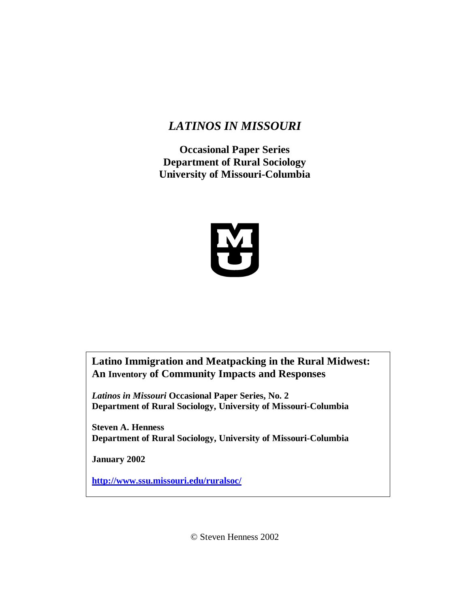# *LATINOS IN MISSOURI*

**Occasional Paper Series Department of Rural Sociology University of Missouri-Columbia**



**Latino Immigration and Meatpacking in the Rural Midwest: An Inventory of Community Impacts and Responses** 

*Latinos in Missouri* **Occasional Paper Series, No. 2 Department of Rural Sociology, University of Missouri-Columbia**

**Steven A. Henness Department of Rural Sociology, University of Missouri-Columbia**

**January 2002**

**http://www.ssu.missouri.edu/ruralsoc/**

© Steven Henness 2002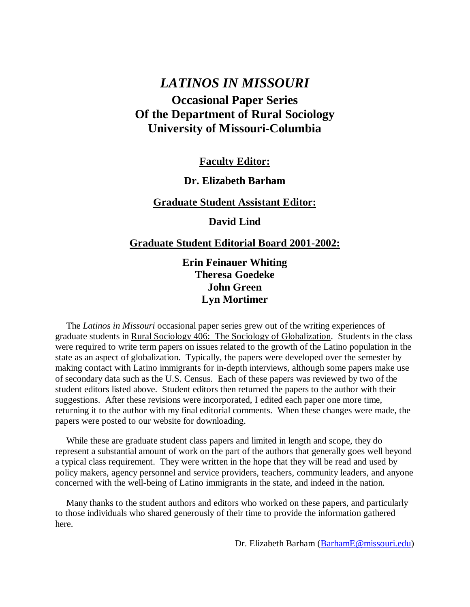# *LATINOS IN MISSOURI* **Occasional Paper Series Of the Department of Rural Sociology University of Missouri-Columbia**

**Faculty Editor:**

# **Dr. Elizabeth Barham**

## **Graduate Student Assistant Editor:**

**David Lind**

## **Graduate Student Editorial Board 2001-2002:**

**Erin Feinauer Whiting Theresa Goedeke John Green Lyn Mortimer**

The *Latinos in Missouri* occasional paper series grew out of the writing experiences of graduate students in Rural Sociology 406: The Sociology of Globalization. Students in the class were required to write term papers on issues related to the growth of the Latino population in the state as an aspect of globalization. Typically, the papers were developed over the semester by making contact with Latino immigrants for in-depth interviews, although some papers make use of secondary data such as the U.S. Census. Each of these papers was reviewed by two of the student editors listed above. Student editors then returned the papers to the author with their suggestions. After these revisions were incorporated, I edited each paper one more time, returning it to the author with my final editorial comments. When these changes were made, the papers were posted to our website for downloading.

While these are graduate student class papers and limited in length and scope, they do represent a substantial amount of work on the part of the authors that generally goes well beyond a typical class requirement. They were written in the hope that they will be read and used by policy makers, agency personnel and service providers, teachers, community leaders, and anyone concerned with the well-being of Latino immigrants in the state, and indeed in the nation.

Many thanks to the student authors and editors who worked on these papers, and particularly to those individuals who shared generously of their time to provide the information gathered here.

Dr. Elizabeth Barham (BarhamE@missouri.edu)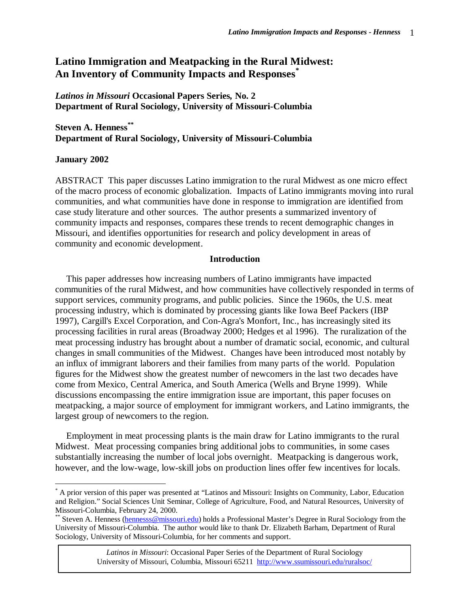# **Latino Immigration and Meatpacking in the Rural Midwest: An Inventory of Community Impacts and Responses\***

## *Latinos in Missouri* **Occasional Papers Series***,* **No. 2 Department of Rural Sociology, University of Missouri-Columbia**

## **Steven A. Henness\*\* Department of Rural Sociology, University of Missouri-Columbia**

#### **January 2002**

 $\overline{a}$ 

ABSTRACT This paper discusses Latino immigration to the rural Midwest as one micro effect of the macro process of economic globalization. Impacts of Latino immigrants moving into rural communities, and what communities have done in response to immigration are identified from case study literature and other sources. The author presents a summarized inventory of community impacts and responses, compares these trends to recent demographic changes in Missouri, and identifies opportunities for research and policy development in areas of community and economic development.

#### **Introduction**

This paper addresses how increasing numbers of Latino immigrants have impacted communities of the rural Midwest, and how communities have collectively responded in terms of support services, community programs, and public policies. Since the 1960s, the U.S. meat processing industry, which is dominated by processing giants like Iowa Beef Packers (IBP 1997), Cargill's Excel Corporation, and Con-Agra's Monfort, Inc., has increasingly sited its processing facilities in rural areas (Broadway 2000; Hedges et al 1996). The ruralization of the meat processing industry has brought about a number of dramatic social, economic, and cultural changes in small communities of the Midwest. Changes have been introduced most notably by an influx of immigrant laborers and their families from many parts of the world. Population figures for the Midwest show the greatest number of newcomers in the last two decades have come from Mexico, Central America, and South America (Wells and Bryne 1999). While discussions encompassing the entire immigration issue are important, this paper focuses on meatpacking, a major source of employment for immigrant workers, and Latino immigrants, the largest group of newcomers to the region.

Employment in meat processing plants is the main draw for Latino immigrants to the rural Midwest. Meat processing companies bring additional jobs to communities, in some cases substantially increasing the number of local jobs overnight. Meatpacking is dangerous work, however, and the low-wage, low-skill jobs on production lines offer few incentives for locals.

<sup>\*</sup> A prior version of this paper was presented at "Latinos and Missouri: Insights on Community, Labor, Education and Religion." Social Sciences Unit Seminar, College of Agriculture, Food, and Natural Resources, University of Missouri-Columbia, February 24, 2000.

Steven A. Henness (hennesss@missouri.edu) holds a Professional Master's Degree in Rural Sociology from the University of Missouri-Columbia. The author would like to thank Dr. Elizabeth Barham, Department of Rural Sociology, University of Missouri-Columbia, for her comments and support.

*Latinos in Missouri*: Occasional Paper Series of the Department of Rural Sociology University of Missouri, Columbia, Missouri 65211 http://www.ssumissouri.edu/ruralsoc/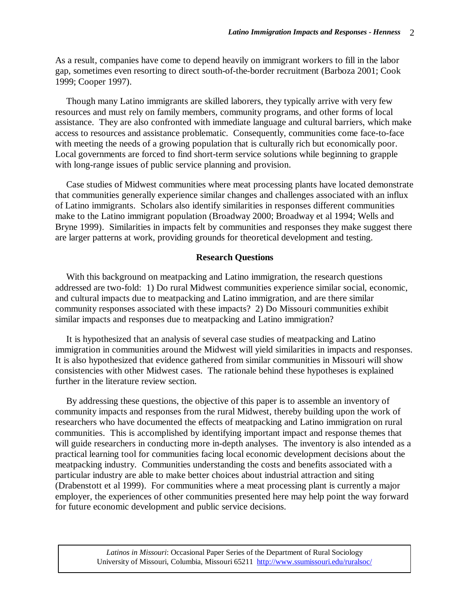As a result, companies have come to depend heavily on immigrant workers to fill in the labor gap, sometimes even resorting to direct south-of-the-border recruitment (Barboza 2001; Cook 1999; Cooper 1997).

Though many Latino immigrants are skilled laborers, they typically arrive with very few resources and must rely on family members, community programs, and other forms of local assistance. They are also confronted with immediate language and cultural barriers, which make access to resources and assistance problematic. Consequently, communities come face-to-face with meeting the needs of a growing population that is culturally rich but economically poor. Local governments are forced to find short-term service solutions while beginning to grapple with long-range issues of public service planning and provision.

Case studies of Midwest communities where meat processing plants have located demonstrate that communities generally experience similar changes and challenges associated with an influx of Latino immigrants. Scholars also identify similarities in responses different communities make to the Latino immigrant population (Broadway 2000; Broadway et al 1994; Wells and Bryne 1999). Similarities in impacts felt by communities and responses they make suggest there are larger patterns at work, providing grounds for theoretical development and testing.

#### **Research Questions**

With this background on meatpacking and Latino immigration, the research questions addressed are two-fold: 1) Do rural Midwest communities experience similar social, economic, and cultural impacts due to meatpacking and Latino immigration, and are there similar community responses associated with these impacts? 2) Do Missouri communities exhibit similar impacts and responses due to meatpacking and Latino immigration?

It is hypothesized that an analysis of several case studies of meatpacking and Latino immigration in communities around the Midwest will yield similarities in impacts and responses. It is also hypothesized that evidence gathered from similar communities in Missouri will show consistencies with other Midwest cases. The rationale behind these hypotheses is explained further in the literature review section.

By addressing these questions, the objective of this paper is to assemble an inventory of community impacts and responses from the rural Midwest, thereby building upon the work of researchers who have documented the effects of meatpacking and Latino immigration on rural communities. This is accomplished by identifying important impact and response themes that will guide researchers in conducting more in-depth analyses. The inventory is also intended as a practical learning tool for communities facing local economic development decisions about the meatpacking industry. Communities understanding the costs and benefits associated with a particular industry are able to make better choices about industrial attraction and siting (Drabenstott et al 1999). For communities where a meat processing plant is currently a major employer, the experiences of other communities presented here may help point the way forward for future economic development and public service decisions.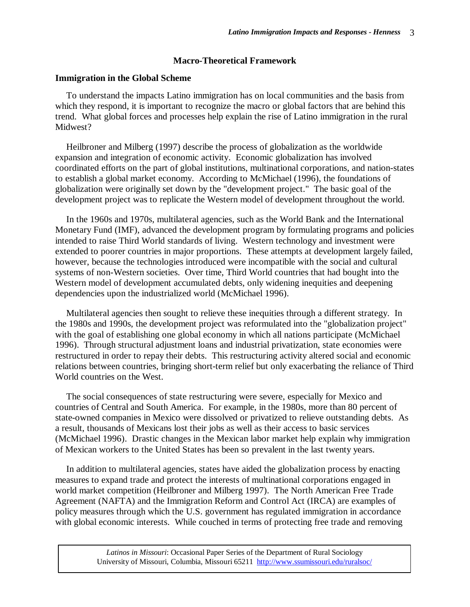## **Macro-Theoretical Framework**

#### **Immigration in the Global Scheme**

To understand the impacts Latino immigration has on local communities and the basis from which they respond, it is important to recognize the macro or global factors that are behind this trend. What global forces and processes help explain the rise of Latino immigration in the rural Midwest?

Heilbroner and Milberg (1997) describe the process of globalization as the worldwide expansion and integration of economic activity. Economic globalization has involved coordinated efforts on the part of global institutions, multinational corporations, and nation-states to establish a global market economy. According to McMichael (1996), the foundations of globalization were originally set down by the "development project." The basic goal of the development project was to replicate the Western model of development throughout the world.

In the 1960s and 1970s, multilateral agencies, such as the World Bank and the International Monetary Fund (IMF), advanced the development program by formulating programs and policies intended to raise Third World standards of living. Western technology and investment were extended to poorer countries in major proportions. These attempts at development largely failed, however, because the technologies introduced were incompatible with the social and cultural systems of non-Western societies. Over time, Third World countries that had bought into the Western model of development accumulated debts, only widening inequities and deepening dependencies upon the industrialized world (McMichael 1996).

Multilateral agencies then sought to relieve these inequities through a different strategy. In the 1980s and 1990s, the development project was reformulated into the "globalization project" with the goal of establishing one global economy in which all nations participate (McMichael 1996). Through structural adjustment loans and industrial privatization, state economies were restructured in order to repay their debts. This restructuring activity altered social and economic relations between countries, bringing short-term relief but only exacerbating the reliance of Third World countries on the West.

The social consequences of state restructuring were severe, especially for Mexico and countries of Central and South America. For example, in the 1980s, more than 80 percent of state-owned companies in Mexico were dissolved or privatized to relieve outstanding debts. As a result, thousands of Mexicans lost their jobs as well as their access to basic services (McMichael 1996). Drastic changes in the Mexican labor market help explain why immigration of Mexican workers to the United States has been so prevalent in the last twenty years.

In addition to multilateral agencies, states have aided the globalization process by enacting measures to expand trade and protect the interests of multinational corporations engaged in world market competition (Heilbroner and Milberg 1997). The North American Free Trade Agreement (NAFTA) and the Immigration Reform and Control Act (IRCA) are examples of policy measures through which the U.S. government has regulated immigration in accordance with global economic interests. While couched in terms of protecting free trade and removing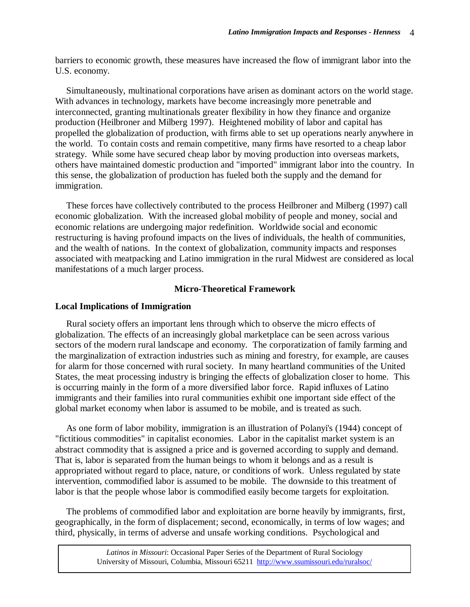barriers to economic growth, these measures have increased the flow of immigrant labor into the U.S. economy.

Simultaneously, multinational corporations have arisen as dominant actors on the world stage. With advances in technology, markets have become increasingly more penetrable and interconnected, granting multinationals greater flexibility in how they finance and organize production (Heilbroner and Milberg 1997). Heightened mobility of labor and capital has propelled the globalization of production, with firms able to set up operations nearly anywhere in the world. To contain costs and remain competitive, many firms have resorted to a cheap labor strategy. While some have secured cheap labor by moving production into overseas markets, others have maintained domestic production and "imported" immigrant labor into the country. In this sense, the globalization of production has fueled both the supply and the demand for immigration.

These forces have collectively contributed to the process Heilbroner and Milberg (1997) call economic globalization. With the increased global mobility of people and money, social and economic relations are undergoing major redefinition. Worldwide social and economic restructuring is having profound impacts on the lives of individuals, the health of communities, and the wealth of nations. In the context of globalization, community impacts and responses associated with meatpacking and Latino immigration in the rural Midwest are considered as local manifestations of a much larger process.

## **Micro-Theoretical Framework**

## **Local Implications of Immigration**

Rural society offers an important lens through which to observe the micro effects of globalization. The effects of an increasingly global marketplace can be seen across various sectors of the modern rural landscape and economy. The corporatization of family farming and the marginalization of extraction industries such as mining and forestry, for example, are causes for alarm for those concerned with rural society. In many heartland communities of the United States, the meat processing industry is bringing the effects of globalization closer to home. This is occurring mainly in the form of a more diversified labor force. Rapid influxes of Latino immigrants and their families into rural communities exhibit one important side effect of the global market economy when labor is assumed to be mobile, and is treated as such.

As one form of labor mobility, immigration is an illustration of Polanyi's (1944) concept of "fictitious commodities" in capitalist economies. Labor in the capitalist market system is an abstract commodity that is assigned a price and is governed according to supply and demand. That is, labor is separated from the human beings to whom it belongs and as a result is appropriated without regard to place, nature, or conditions of work. Unless regulated by state intervention, commodified labor is assumed to be mobile. The downside to this treatment of labor is that the people whose labor is commodified easily become targets for exploitation.

The problems of commodified labor and exploitation are borne heavily by immigrants, first, geographically, in the form of displacement; second, economically, in terms of low wages; and third, physically, in terms of adverse and unsafe working conditions. Psychological and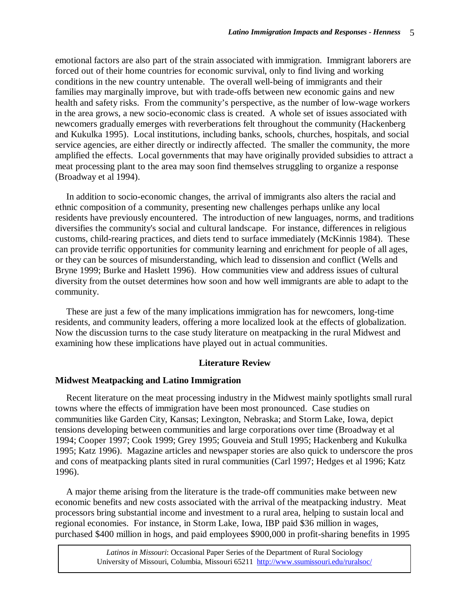emotional factors are also part of the strain associated with immigration. Immigrant laborers are forced out of their home countries for economic survival, only to find living and working conditions in the new country untenable. The overall well-being of immigrants and their families may marginally improve, but with trade-offs between new economic gains and new health and safety risks. From the community's perspective, as the number of low-wage workers in the area grows, a new socio-economic class is created. A whole set of issues associated with newcomers gradually emerges with reverberations felt throughout the community (Hackenberg and Kukulka 1995). Local institutions, including banks, schools, churches, hospitals, and social service agencies, are either directly or indirectly affected. The smaller the community, the more amplified the effects. Local governments that may have originally provided subsidies to attract a meat processing plant to the area may soon find themselves struggling to organize a response (Broadway et al 1994).

In addition to socio-economic changes, the arrival of immigrants also alters the racial and ethnic composition of a community, presenting new challenges perhaps unlike any local residents have previously encountered. The introduction of new languages, norms, and traditions diversifies the community's social and cultural landscape. For instance, differences in religious customs, child-rearing practices, and diets tend to surface immediately (McKinnis 1984). These can provide terrific opportunities for community learning and enrichment for people of all ages, or they can be sources of misunderstanding, which lead to dissension and conflict (Wells and Bryne 1999; Burke and Haslett 1996). How communities view and address issues of cultural diversity from the outset determines how soon and how well immigrants are able to adapt to the community.

These are just a few of the many implications immigration has for newcomers, long-time residents, and community leaders, offering a more localized look at the effects of globalization. Now the discussion turns to the case study literature on meatpacking in the rural Midwest and examining how these implications have played out in actual communities.

### **Literature Review**

#### **Midwest Meatpacking and Latino Immigration**

Recent literature on the meat processing industry in the Midwest mainly spotlights small rural towns where the effects of immigration have been most pronounced. Case studies on communities like Garden City, Kansas; Lexington, Nebraska; and Storm Lake, Iowa, depict tensions developing between communities and large corporations over time (Broadway et al 1994; Cooper 1997; Cook 1999; Grey 1995; Gouveia and Stull 1995; Hackenberg and Kukulka 1995; Katz 1996). Magazine articles and newspaper stories are also quick to underscore the pros and cons of meatpacking plants sited in rural communities (Carl 1997; Hedges et al 1996; Katz 1996).

A major theme arising from the literature is the trade-off communities make between new economic benefits and new costs associated with the arrival of the meatpacking industry. Meat processors bring substantial income and investment to a rural area, helping to sustain local and regional economies. For instance, in Storm Lake, Iowa, IBP paid \$36 million in wages, purchased \$400 million in hogs, and paid employees \$900,000 in profit-sharing benefits in 1995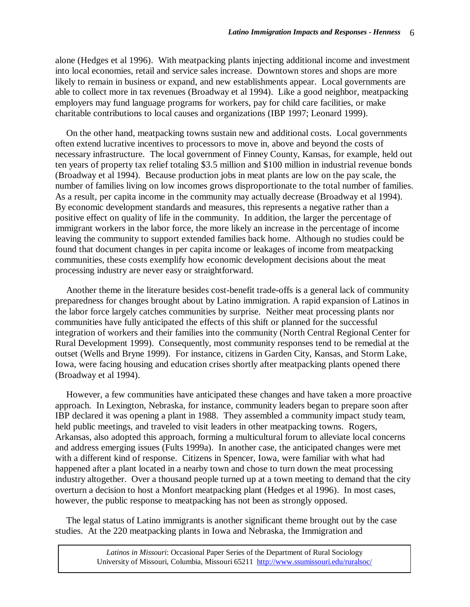alone (Hedges et al 1996). With meatpacking plants injecting additional income and investment into local economies, retail and service sales increase. Downtown stores and shops are more likely to remain in business or expand, and new establishments appear. Local governments are able to collect more in tax revenues (Broadway et al 1994). Like a good neighbor, meatpacking employers may fund language programs for workers, pay for child care facilities, or make charitable contributions to local causes and organizations (IBP 1997; Leonard 1999).

On the other hand, meatpacking towns sustain new and additional costs. Local governments often extend lucrative incentives to processors to move in, above and beyond the costs of necessary infrastructure. The local government of Finney County, Kansas, for example, held out ten years of property tax relief totaling \$3.5 million and \$100 million in industrial revenue bonds (Broadway et al 1994). Because production jobs in meat plants are low on the pay scale, the number of families living on low incomes grows disproportionate to the total number of families. As a result, per capita income in the community may actually decrease (Broadway et al 1994). By economic development standards and measures, this represents a negative rather than a positive effect on quality of life in the community. In addition, the larger the percentage of immigrant workers in the labor force, the more likely an increase in the percentage of income leaving the community to support extended families back home. Although no studies could be found that document changes in per capita income or leakages of income from meatpacking communities, these costs exemplify how economic development decisions about the meat processing industry are never easy or straightforward.

Another theme in the literature besides cost-benefit trade-offs is a general lack of community preparedness for changes brought about by Latino immigration. A rapid expansion of Latinos in the labor force largely catches communities by surprise. Neither meat processing plants nor communities have fully anticipated the effects of this shift or planned for the successful integration of workers and their families into the community (North Central Regional Center for Rural Development 1999). Consequently, most community responses tend to be remedial at the outset (Wells and Bryne 1999). For instance, citizens in Garden City, Kansas, and Storm Lake, Iowa, were facing housing and education crises shortly after meatpacking plants opened there (Broadway et al 1994).

However, a few communities have anticipated these changes and have taken a more proactive approach. In Lexington, Nebraska, for instance, community leaders began to prepare soon after IBP declared it was opening a plant in 1988. They assembled a community impact study team, held public meetings, and traveled to visit leaders in other meatpacking towns. Rogers, Arkansas, also adopted this approach, forming a multicultural forum to alleviate local concerns and address emerging issues (Fults 1999a). In another case, the anticipated changes were met with a different kind of response. Citizens in Spencer, Iowa, were familiar with what had happened after a plant located in a nearby town and chose to turn down the meat processing industry altogether. Over a thousand people turned up at a town meeting to demand that the city overturn a decision to host a Monfort meatpacking plant (Hedges et al 1996). In most cases, however, the public response to meatpacking has not been as strongly opposed.

The legal status of Latino immigrants is another significant theme brought out by the case studies. At the 220 meatpacking plants in Iowa and Nebraska, the Immigration and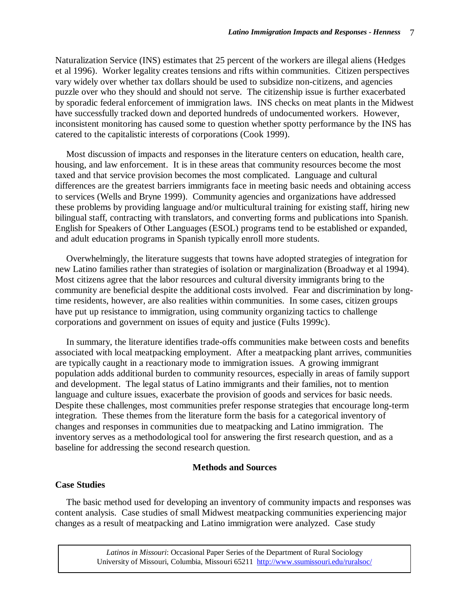Naturalization Service (INS) estimates that 25 percent of the workers are illegal aliens (Hedges et al 1996). Worker legality creates tensions and rifts within communities. Citizen perspectives vary widely over whether tax dollars should be used to subsidize non-citizens, and agencies puzzle over who they should and should not serve. The citizenship issue is further exacerbated by sporadic federal enforcement of immigration laws. INS checks on meat plants in the Midwest have successfully tracked down and deported hundreds of undocumented workers. However, inconsistent monitoring has caused some to question whether spotty performance by the INS has catered to the capitalistic interests of corporations (Cook 1999).

Most discussion of impacts and responses in the literature centers on education, health care, housing, and law enforcement. It is in these areas that community resources become the most taxed and that service provision becomes the most complicated. Language and cultural differences are the greatest barriers immigrants face in meeting basic needs and obtaining access to services (Wells and Bryne 1999). Community agencies and organizations have addressed these problems by providing language and/or multicultural training for existing staff, hiring new bilingual staff, contracting with translators, and converting forms and publications into Spanish. English for Speakers of Other Languages (ESOL) programs tend to be established or expanded, and adult education programs in Spanish typically enroll more students.

Overwhelmingly, the literature suggests that towns have adopted strategies of integration for new Latino families rather than strategies of isolation or marginalization (Broadway et al 1994). Most citizens agree that the labor resources and cultural diversity immigrants bring to the community are beneficial despite the additional costs involved. Fear and discrimination by longtime residents, however, are also realities within communities. In some cases, citizen groups have put up resistance to immigration, using community organizing tactics to challenge corporations and government on issues of equity and justice (Fults 1999c).

In summary, the literature identifies trade-offs communities make between costs and benefits associated with local meatpacking employment. After a meatpacking plant arrives, communities are typically caught in a reactionary mode to immigration issues. A growing immigrant population adds additional burden to community resources, especially in areas of family support and development. The legal status of Latino immigrants and their families, not to mention language and culture issues, exacerbate the provision of goods and services for basic needs. Despite these challenges, most communities prefer response strategies that encourage long-term integration. These themes from the literature form the basis for a categorical inventory of changes and responses in communities due to meatpacking and Latino immigration. The inventory serves as a methodological tool for answering the first research question, and as a baseline for addressing the second research question.

## **Methods and Sources**

## **Case Studies**

The basic method used for developing an inventory of community impacts and responses was content analysis. Case studies of small Midwest meatpacking communities experiencing major changes as a result of meatpacking and Latino immigration were analyzed. Case study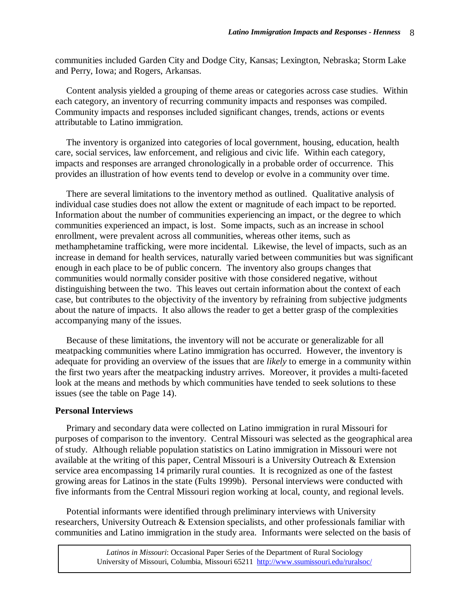communities included Garden City and Dodge City, Kansas; Lexington, Nebraska; Storm Lake and Perry, Iowa; and Rogers, Arkansas.

Content analysis yielded a grouping of theme areas or categories across case studies. Within each category, an inventory of recurring community impacts and responses was compiled. Community impacts and responses included significant changes, trends, actions or events attributable to Latino immigration.

The inventory is organized into categories of local government, housing, education, health care, social services, law enforcement, and religious and civic life. Within each category, impacts and responses are arranged chronologically in a probable order of occurrence. This provides an illustration of how events tend to develop or evolve in a community over time.

There are several limitations to the inventory method as outlined. Qualitative analysis of individual case studies does not allow the extent or magnitude of each impact to be reported. Information about the number of communities experiencing an impact, or the degree to which communities experienced an impact, is lost. Some impacts, such as an increase in school enrollment, were prevalent across all communities, whereas other items, such as methamphetamine trafficking, were more incidental. Likewise, the level of impacts, such as an increase in demand for health services, naturally varied between communities but was significant enough in each place to be of public concern. The inventory also groups changes that communities would normally consider positive with those considered negative, without distinguishing between the two. This leaves out certain information about the context of each case, but contributes to the objectivity of the inventory by refraining from subjective judgments about the nature of impacts. It also allows the reader to get a better grasp of the complexities accompanying many of the issues.

Because of these limitations, the inventory will not be accurate or generalizable for all meatpacking communities where Latino immigration has occurred. However, the inventory is adequate for providing an overview of the issues that are *likely* to emerge in a community within the first two years after the meatpacking industry arrives. Moreover, it provides a multi-faceted look at the means and methods by which communities have tended to seek solutions to these issues (see the table on Page 14).

#### **Personal Interviews**

Primary and secondary data were collected on Latino immigration in rural Missouri for purposes of comparison to the inventory. Central Missouri was selected as the geographical area of study. Although reliable population statistics on Latino immigration in Missouri were not available at the writing of this paper, Central Missouri is a University Outreach & Extension service area encompassing 14 primarily rural counties. It is recognized as one of the fastest growing areas for Latinos in the state (Fults 1999b). Personal interviews were conducted with five informants from the Central Missouri region working at local, county, and regional levels.

Potential informants were identified through preliminary interviews with University researchers, University Outreach & Extension specialists, and other professionals familiar with communities and Latino immigration in the study area. Informants were selected on the basis of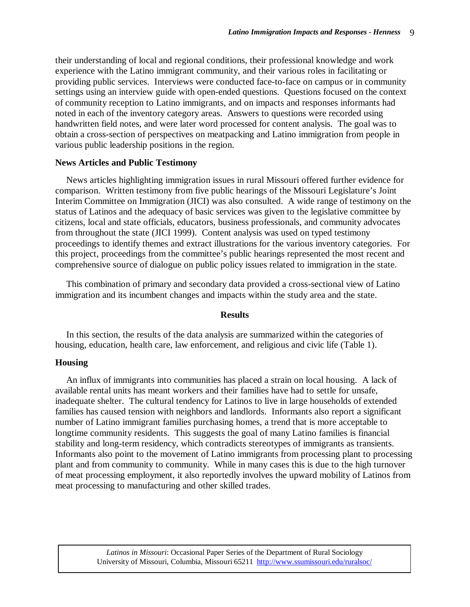their understanding of local and regional conditions, their professional knowledge and work experience with the Latino immigrant community, and their various roles in facilitating or providing public services. Interviews were conducted face-to-face on campus or in community settings using an interview guide with open-ended questions. Questions focused on the context of community reception to Latino immigrants, and on impacts and responses informants had noted in each of the inventory category areas. Answers to questions were recorded using handwritten field notes, and were later word processed for content analysis. The goal was to obtain a cross-section of perspectives on meatpacking and Latino immigration from people in various public leadership positions in the region.

#### **News Articles and Public Testimony**

News articles highlighting immigration issues in rural Missouri offered further evidence for comparison. Written testimony from five public hearings of the Missouri Legislature's Joint Interim Committee on Immigration (JICI) was also consulted. A wide range of testimony on the status of Latinos and the adequacy of basic services was given to the legislative committee by citizens, local and state officials, educators, business professionals, and community advocates from throughout the state (JICI 1999). Content analysis was used on typed testimony proceedings to identify themes and extract illustrations for the various inventory categories. For this project, proceedings from the committee's public hearings represented the most recent and comprehensive source of dialogue on public policy issues related to immigration in the state.

This combination of primary and secondary data provided a cross-sectional view of Latino immigration and its incumbent changes and impacts within the study area and the state.

#### **Results**

In this section, the results of the data analysis are summarized within the categories of housing, education, health care, law enforcement, and religious and civic life (Table 1).

#### **Housing**

An influx of immigrants into communities has placed a strain on local housing. A lack of available rental units has meant workers and their families have had to settle for unsafe, inadequate shelter. The cultural tendency for Latinos to live in large households of extended families has caused tension with neighbors and landlords. Informants also report a significant number of Latino immigrant families purchasing homes, a trend that is more acceptable to longtime community residents. This suggests the goal of many Latino families is financial stability and long-term residency, which contradicts stereotypes of immigrants as transients. Informants also point to the movement of Latino immigrants from processing plant to processing plant and from community to community. While in many cases this is due to the high turnover of meat processing employment, it also reportedly involves the upward mobility of Latinos from meat processing to manufacturing and other skilled trades.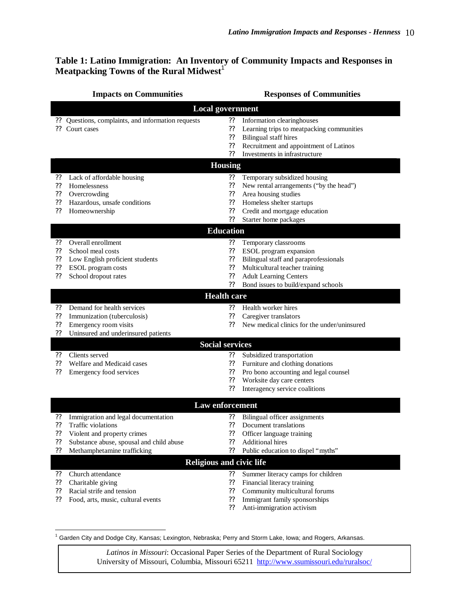## **Table 1: Latino Immigration: An Inventory of Community Impacts and Responses in Meatpacking Towns of the Rural Midwest**<sup>1</sup>

|                              | <b>Impacts on Communities</b>                   |               | <b>Responses of Communities</b>             |  |
|------------------------------|-------------------------------------------------|---------------|---------------------------------------------|--|
| <b>Local government</b>      |                                                 |               |                                             |  |
|                              | Questions, complaints, and information requests | ??            | Information clearinghouses                  |  |
| 99                           | Court cases                                     | ??            | Learning trips to meatpacking communities   |  |
|                              |                                                 | ??            | <b>Bilingual staff hires</b>                |  |
|                              |                                                 | ??            | Recruitment and appointment of Latinos      |  |
|                              |                                                 | ??            | Investments in infrastructure               |  |
| <b>Housing</b>               |                                                 |               |                                             |  |
| ??                           | Lack of affordable housing                      | ??            | Temporary subsidized housing                |  |
| ??                           | Homelessness                                    | ??            | New rental arrangements ("by the head")     |  |
| ??                           | Overcrowding                                    | ??            | Area housing studies                        |  |
| $\boldsymbol ?\boldsymbol ?$ | Hazardous, unsafe conditions                    | ??            | Homeless shelter startups                   |  |
| ??                           | Homeownership                                   | ??            | Credit and mortgage education               |  |
|                              |                                                 | ??            | Starter home packages                       |  |
| <b>Education</b>             |                                                 |               |                                             |  |
| ??                           | Overall enrollment                              | ??            | Temporary classrooms                        |  |
| ??                           | School meal costs                               | ??            | ESOL program expansion                      |  |
| ??                           | Low English proficient students                 | ??            | Bilingual staff and paraprofessionals       |  |
| ??                           | ESOL program costs                              | ??            | Multicultural teacher training              |  |
| ??                           | School dropout rates                            | ??            | <b>Adult Learning Centers</b>               |  |
|                              |                                                 | ??            | Bond issues to build/expand schools         |  |
| <b>Health care</b>           |                                                 |               |                                             |  |
| ??                           | Demand for health services                      | ??            | Health worker hires                         |  |
| ??                           | Immunization (tuberculosis)                     | ??            | Caregiver translators                       |  |
| ??                           | Emergency room visits                           | ??            | New medical clinics for the under/uninsured |  |
| ??                           | Uninsured and underinsured patients             |               |                                             |  |
| <b>Social services</b>       |                                                 |               |                                             |  |
| ??                           | Clients served                                  | ??            | Subsidized transportation                   |  |
| ??                           | Welfare and Medicaid cases                      | ??            | Furniture and clothing donations            |  |
| ??                           | Emergency food services                         | ??            | Pro bono accounting and legal counsel       |  |
|                              |                                                 | ??            | Worksite day care centers                   |  |
|                              |                                                 | ??            | Interagency service coalitions              |  |
| Law enforcement              |                                                 |               |                                             |  |
| ??                           | Immigration and legal documentation             | ??            | Bilingual officer assignments               |  |
| ??                           | Traffic violations                              | ??            | Document translations                       |  |
| ??                           | Violent and property crimes                     | ??            | Officer language training                   |  |
| $\boldsymbol ?\boldsymbol ?$ | Substance abuse, spousal and child abuse        | ??            | <b>Additional hires</b>                     |  |
| ??                           | Methamphetamine trafficking                     | ??            | Public education to dispel "myths"          |  |
|                              | <b>Religious and civic life</b>                 |               |                                             |  |
| $\boldsymbol ?\boldsymbol ?$ | Church attendance                               | ??            | Summer literacy camps for children          |  |
| $\boldsymbol ?\boldsymbol ?$ | Charitable giving                               | ??            | Financial literacy training                 |  |
| $\boldsymbol ?\boldsymbol ?$ | Racial strife and tension                       | ??            | Community multicultural forums              |  |
| $\mathbf{??}$                | Food, arts, music, cultural events              | $\mathbf{??}$ | Immigrant family sponsorships               |  |
|                              |                                                 | ??            | Anti-immigration activism                   |  |
|                              |                                                 |               |                                             |  |

1 Garden City and Dodge City, Kansas; Lexington, Nebraska; Perry and Storm Lake, Iowa; and Rogers, Arkansas.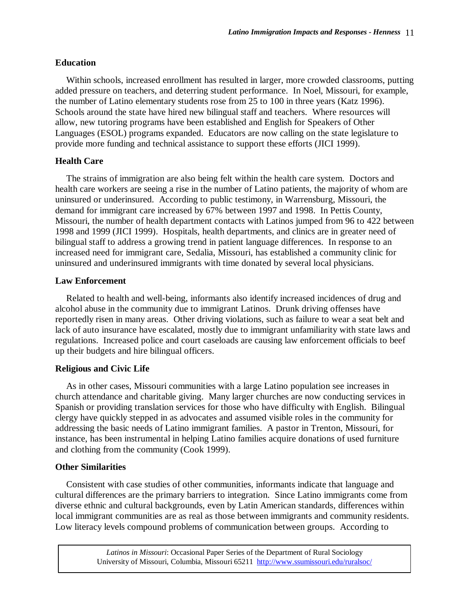## **Education**

Within schools, increased enrollment has resulted in larger, more crowded classrooms, putting added pressure on teachers, and deterring student performance. In Noel, Missouri, for example, the number of Latino elementary students rose from 25 to 100 in three years (Katz 1996). Schools around the state have hired new bilingual staff and teachers. Where resources will allow, new tutoring programs have been established and English for Speakers of Other Languages (ESOL) programs expanded. Educators are now calling on the state legislature to provide more funding and technical assistance to support these efforts (JICI 1999).

## **Health Care**

The strains of immigration are also being felt within the health care system. Doctors and health care workers are seeing a rise in the number of Latino patients, the majority of whom are uninsured or underinsured. According to public testimony, in Warrensburg, Missouri, the demand for immigrant care increased by 67% between 1997 and 1998. In Pettis County, Missouri, the number of health department contacts with Latinos jumped from 96 to 422 between 1998 and 1999 (JICI 1999). Hospitals, health departments, and clinics are in greater need of bilingual staff to address a growing trend in patient language differences. In response to an increased need for immigrant care, Sedalia, Missouri, has established a community clinic for uninsured and underinsured immigrants with time donated by several local physicians.

## **Law Enforcement**

Related to health and well-being, informants also identify increased incidences of drug and alcohol abuse in the community due to immigrant Latinos. Drunk driving offenses have reportedly risen in many areas. Other driving violations, such as failure to wear a seat belt and lack of auto insurance have escalated, mostly due to immigrant unfamiliarity with state laws and regulations. Increased police and court caseloads are causing law enforcement officials to beef up their budgets and hire bilingual officers.

## **Religious and Civic Life**

As in other cases, Missouri communities with a large Latino population see increases in church attendance and charitable giving. Many larger churches are now conducting services in Spanish or providing translation services for those who have difficulty with English. Bilingual clergy have quickly stepped in as advocates and assumed visible roles in the community for addressing the basic needs of Latino immigrant families. A pastor in Trenton, Missouri, for instance, has been instrumental in helping Latino families acquire donations of used furniture and clothing from the community (Cook 1999).

## **Other Similarities**

Consistent with case studies of other communities, informants indicate that language and cultural differences are the primary barriers to integration. Since Latino immigrants come from diverse ethnic and cultural backgrounds, even by Latin American standards, differences within local immigrant communities are as real as those between immigrants and community residents. Low literacy levels compound problems of communication between groups. According to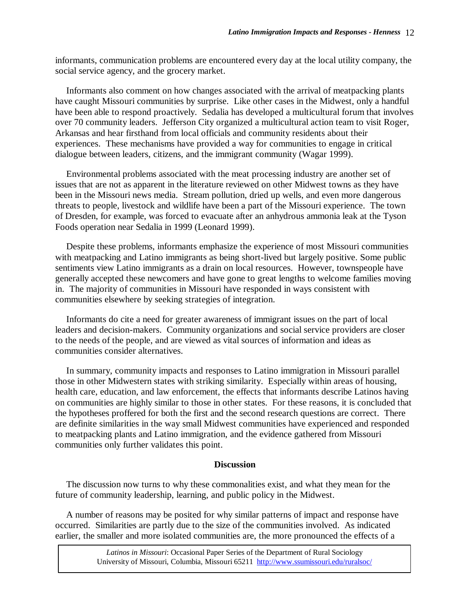informants, communication problems are encountered every day at the local utility company, the social service agency, and the grocery market.

Informants also comment on how changes associated with the arrival of meatpacking plants have caught Missouri communities by surprise. Like other cases in the Midwest, only a handful have been able to respond proactively. Sedalia has developed a multicultural forum that involves over 70 community leaders. Jefferson City organized a multicultural action team to visit Roger, Arkansas and hear firsthand from local officials and community residents about their experiences. These mechanisms have provided a way for communities to engage in critical dialogue between leaders, citizens, and the immigrant community (Wagar 1999).

Environmental problems associated with the meat processing industry are another set of issues that are not as apparent in the literature reviewed on other Midwest towns as they have been in the Missouri news media. Stream pollution, dried up wells, and even more dangerous threats to people, livestock and wildlife have been a part of the Missouri experience. The town of Dresden, for example, was forced to evacuate after an anhydrous ammonia leak at the Tyson Foods operation near Sedalia in 1999 (Leonard 1999).

Despite these problems, informants emphasize the experience of most Missouri communities with meatpacking and Latino immigrants as being short-lived but largely positive. Some public sentiments view Latino immigrants as a drain on local resources. However, townspeople have generally accepted these newcomers and have gone to great lengths to welcome families moving in. The majority of communities in Missouri have responded in ways consistent with communities elsewhere by seeking strategies of integration.

Informants do cite a need for greater awareness of immigrant issues on the part of local leaders and decision-makers. Community organizations and social service providers are closer to the needs of the people, and are viewed as vital sources of information and ideas as communities consider alternatives.

In summary, community impacts and responses to Latino immigration in Missouri parallel those in other Midwestern states with striking similarity. Especially within areas of housing, health care, education, and law enforcement, the effects that informants describe Latinos having on communities are highly similar to those in other states. For these reasons, it is concluded that the hypotheses proffered for both the first and the second research questions are correct. There are definite similarities in the way small Midwest communities have experienced and responded to meatpacking plants and Latino immigration, and the evidence gathered from Missouri communities only further validates this point.

#### **Discussion**

The discussion now turns to why these commonalities exist, and what they mean for the future of community leadership, learning, and public policy in the Midwest.

A number of reasons may be posited for why similar patterns of impact and response have occurred. Similarities are partly due to the size of the communities involved. As indicated earlier, the smaller and more isolated communities are, the more pronounced the effects of a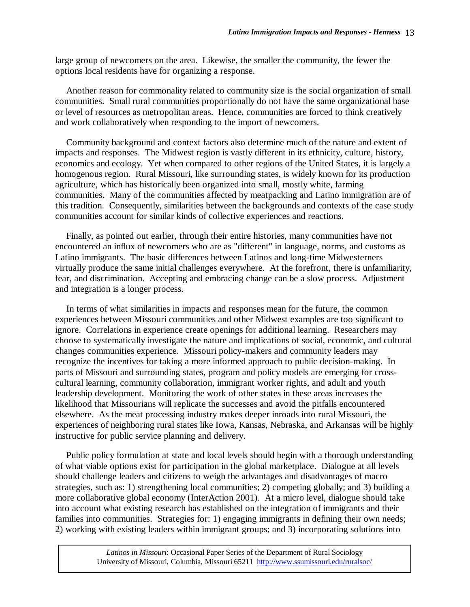large group of newcomers on the area. Likewise, the smaller the community, the fewer the options local residents have for organizing a response.

Another reason for commonality related to community size is the social organization of small communities. Small rural communities proportionally do not have the same organizational base or level of resources as metropolitan areas. Hence, communities are forced to think creatively and work collaboratively when responding to the import of newcomers.

Community background and context factors also determine much of the nature and extent of impacts and responses. The Midwest region is vastly different in its ethnicity, culture, history, economics and ecology. Yet when compared to other regions of the United States, it is largely a homogenous region. Rural Missouri, like surrounding states, is widely known for its production agriculture, which has historically been organized into small, mostly white, farming communities. Many of the communities affected by meatpacking and Latino immigration are of this tradition. Consequently, similarities between the backgrounds and contexts of the case study communities account for similar kinds of collective experiences and reactions.

Finally, as pointed out earlier, through their entire histories, many communities have not encountered an influx of newcomers who are as "different" in language, norms, and customs as Latino immigrants. The basic differences between Latinos and long-time Midwesterners virtually produce the same initial challenges everywhere. At the forefront, there is unfamiliarity, fear, and discrimination. Accepting and embracing change can be a slow process. Adjustment and integration is a longer process.

In terms of what similarities in impacts and responses mean for the future, the common experiences between Missouri communities and other Midwest examples are too significant to ignore. Correlations in experience create openings for additional learning. Researchers may choose to systematically investigate the nature and implications of social, economic, and cultural changes communities experience. Missouri policy-makers and community leaders may recognize the incentives for taking a more informed approach to public decision-making. In parts of Missouri and surrounding states, program and policy models are emerging for crosscultural learning, community collaboration, immigrant worker rights, and adult and youth leadership development. Monitoring the work of other states in these areas increases the likelihood that Missourians will replicate the successes and avoid the pitfalls encountered elsewhere. As the meat processing industry makes deeper inroads into rural Missouri, the experiences of neighboring rural states like Iowa, Kansas, Nebraska, and Arkansas will be highly instructive for public service planning and delivery.

Public policy formulation at state and local levels should begin with a thorough understanding of what viable options exist for participation in the global marketplace. Dialogue at all levels should challenge leaders and citizens to weigh the advantages and disadvantages of macro strategies, such as: 1) strengthening local communities; 2) competing globally; and 3) building a more collaborative global economy (InterAction 2001). At a micro level, dialogue should take into account what existing research has established on the integration of immigrants and their families into communities. Strategies for: 1) engaging immigrants in defining their own needs; 2) working with existing leaders within immigrant groups; and 3) incorporating solutions into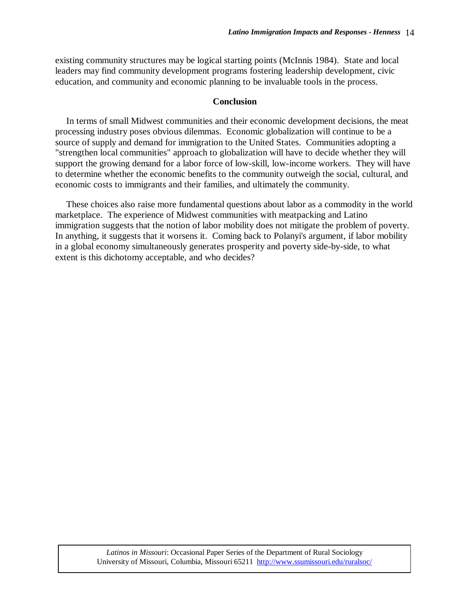existing community structures may be logical starting points (McInnis 1984). State and local leaders may find community development programs fostering leadership development, civic education, and community and economic planning to be invaluable tools in the process.

## **Conclusion**

In terms of small Midwest communities and their economic development decisions, the meat processing industry poses obvious dilemmas. Economic globalization will continue to be a source of supply and demand for immigration to the United States. Communities adopting a "strengthen local communities" approach to globalization will have to decide whether they will support the growing demand for a labor force of low-skill, low-income workers. They will have to determine whether the economic benefits to the community outweigh the social, cultural, and economic costs to immigrants and their families, and ultimately the community.

These choices also raise more fundamental questions about labor as a commodity in the world marketplace. The experience of Midwest communities with meatpacking and Latino immigration suggests that the notion of labor mobility does not mitigate the problem of poverty. In anything, it suggests that it worsens it. Coming back to Polanyi's argument, if labor mobility in a global economy simultaneously generates prosperity and poverty side-by-side, to what extent is this dichotomy acceptable, and who decides?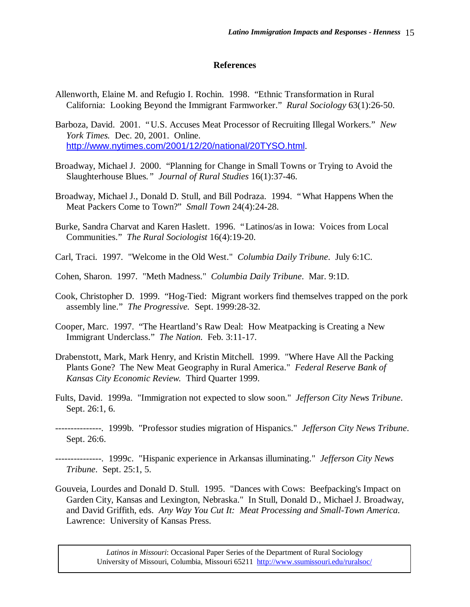## **References**

- Allenworth, Elaine M. and Refugio I. Rochin. 1998. "Ethnic Transformation in Rural California: Looking Beyond the Immigrant Farmworker." *Rural Sociology* 63(1):26-50.
- Barboza, David. 2001. "U.S. Accuses Meat Processor of Recruiting Illegal Workers." *New York Times.* Dec. 20, 2001. Online. http://www.nytimes.com/2001/12/20/national/20TYSO.html.
- Broadway, Michael J. 2000. "Planning for Change in Small Towns or Trying to Avoid the Slaughterhouse Blues*." Journal of Rural Studies* 16(1):37-46.
- Broadway, Michael J., Donald D. Stull, and Bill Podraza. 1994. "What Happens When the Meat Packers Come to Town?" *Small Town* 24(4):24-28.
- Burke, Sandra Charvat and Karen Haslett. 1996. "Latinos/as in Iowa: Voices from Local Communities." *The Rural Sociologist* 16(4):19-20.
- Carl, Traci. 1997. "Welcome in the Old West." *Columbia Daily Tribune*. July 6:1C.
- Cohen, Sharon. 1997. "Meth Madness." *Columbia Daily Tribune*. Mar. 9:1D.
- Cook, Christopher D. 1999. "Hog-Tied: Migrant workers find themselves trapped on the pork assembly line." *The Progressive.* Sept. 1999:28-32.
- Cooper, Marc. 1997. "The Heartland's Raw Deal: How Meatpacking is Creating a New Immigrant Underclass." *The Nation.* Feb. 3:11-17.
- Drabenstott, Mark, Mark Henry, and Kristin Mitchell. 1999. "Where Have All the Packing Plants Gone? The New Meat Geography in Rural America." *Federal Reserve Bank of Kansas City Economic Review.* Third Quarter 1999.
- Fults, David. 1999a. "Immigration not expected to slow soon." *Jefferson City News Tribune*. Sept. 26:1, 6.
- ---------------. 1999b. "Professor studies migration of Hispanics." *Jefferson City News Tribune*. Sept. 26:6.
- ---------------. 1999c. "Hispanic experience in Arkansas illuminating." *Jefferson City News Tribune*. Sept. 25:1, 5.
- Gouveia, Lourdes and Donald D. Stull. 1995. "Dances with Cows: Beefpacking's Impact on Garden City, Kansas and Lexington, Nebraska." In Stull, Donald D., Michael J. Broadway, and David Griffith, eds. *Any Way You Cut It: Meat Processing and Small-Town America.* Lawrence: University of Kansas Press.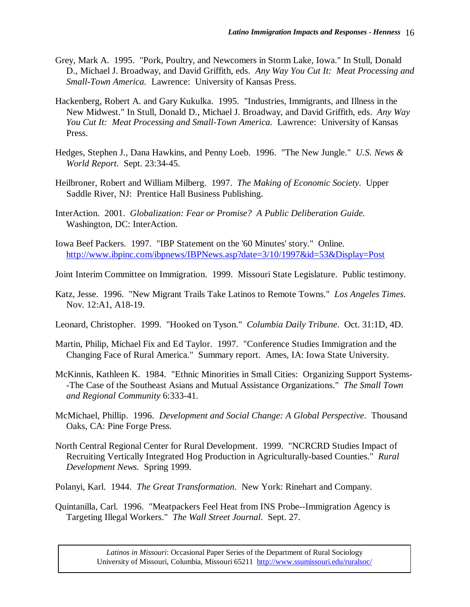- Grey, Mark A. 1995. "Pork, Poultry, and Newcomers in Storm Lake, Iowa." In Stull, Donald D., Michael J. Broadway, and David Griffith, eds. *Any Way You Cut It: Meat Processing and Small-Town America.* Lawrence: University of Kansas Press.
- Hackenberg, Robert A. and Gary Kukulka. 1995. "Industries, Immigrants, and Illness in the New Midwest." In Stull, Donald D., Michael J. Broadway, and David Griffith, eds. *Any Way You Cut It: Meat Processing and Small-Town America.* Lawrence: University of Kansas Press.
- Hedges, Stephen J., Dana Hawkins, and Penny Loeb. 1996. "The New Jungle." *U.S. News & World Report*. Sept. 23:34-45.
- Heilbroner, Robert and William Milberg. 1997. *The Making of Economic Society*. Upper Saddle River, NJ: Prentice Hall Business Publishing.
- InterAction. 2001. *Globalization: Fear or Promise? A Public Deliberation Guide.* Washington, DC: InterAction.
- Iowa Beef Packers. 1997. "IBP Statement on the '60 Minutes' story." Online. http://www.ibpinc.com/ibpnews/IBPNews.asp?date=3/10/1997&id=53&Display=Post
- Joint Interim Committee on Immigration. 1999. Missouri State Legislature. Public testimony.
- Katz, Jesse. 1996. "New Migrant Trails Take Latinos to Remote Towns." *Los Angeles Times*. Nov. 12:A1, A18-19.
- Leonard, Christopher. 1999. "Hooked on Tyson." *Columbia Daily Tribune*. Oct. 31:1D, 4D.
- Martin, Philip, Michael Fix and Ed Taylor. 1997. "Conference Studies Immigration and the Changing Face of Rural America." Summary report. Ames, IA: Iowa State University.
- McKinnis, Kathleen K. 1984. "Ethnic Minorities in Small Cities: Organizing Support Systems- -The Case of the Southeast Asians and Mutual Assistance Organizations." *The Small Town and Regional Community* 6:333-41.
- McMichael, Phillip. 1996. *Development and Social Change: A Global Perspective*. Thousand Oaks, CA: Pine Forge Press.
- North Central Regional Center for Rural Development. 1999. "NCRCRD Studies Impact of Recruiting Vertically Integrated Hog Production in Agriculturally-based Counties." *Rural Development News.* Spring 1999.
- Polanyi, Karl. 1944. *The Great Transformation*. New York: Rinehart and Company.
- Quintanilla, Carl. 1996. "Meatpackers Feel Heat from INS Probe--Immigration Agency is Targeting Illegal Workers." *The Wall Street Journal*. Sept. 27.